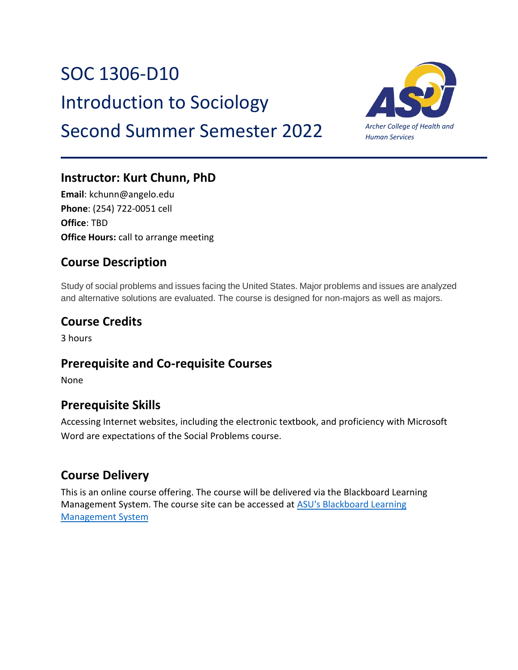# SOC 1306-D10

Introduction to Sociology

# Second Summer Semester 2022



### **Instructor: Kurt Chunn, PhD**

**Email**: kchunn@angelo.edu **Phone**: (254) 722-0051 cell **Office**: TBD **Office Hours:** call to arrange meeting

### **Course Description**

Study of social problems and issues facing the United States. Major problems and issues are analyzed and alternative solutions are evaluated. The course is designed for non-majors as well as majors.

### **Course Credits**

3 hours

### **Prerequisite and Co-requisite Courses**

None

### **Prerequisite Skills**

Accessing Internet websites, including the electronic textbook, and proficiency with Microsoft Word are expectations of the Social Problems course.

### **Course Delivery**

This is an online course offering. The course will be delivered via the Blackboard Learning Management System. The course site can be accessed at [ASU's Blackboard Learning](about:blank)  [Management System](about:blank)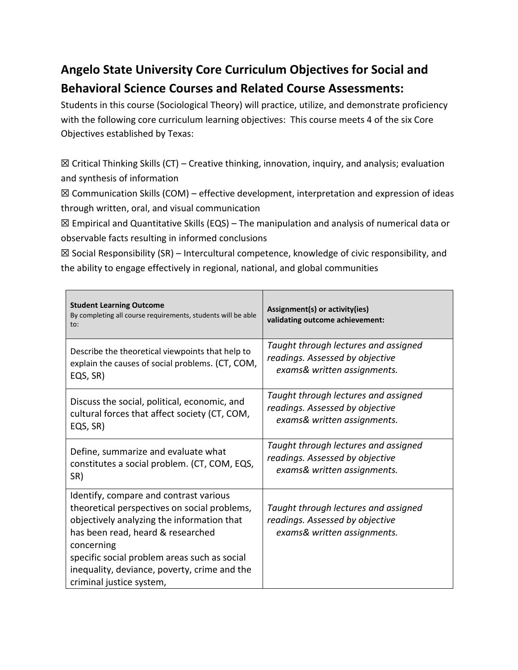# **Angelo State University Core Curriculum Objectives for Social and Behavioral Science Courses and Related Course Assessments:**

Students in this course (Sociological Theory) will practice, utilize, and demonstrate proficiency with the following core curriculum learning objectives: This course meets 4 of the six Core Objectives established by Texas:

 $\boxtimes$  Critical Thinking Skills (CT) – Creative thinking, innovation, inquiry, and analysis; evaluation and synthesis of information

 $\boxtimes$  Communication Skills (COM) – effective development, interpretation and expression of ideas through written, oral, and visual communication

☒ Empirical and Quantitative Skills (EQS) – The manipulation and analysis of numerical data or observable facts resulting in informed conclusions

 $\boxtimes$  Social Responsibility (SR) – Intercultural competence, knowledge of civic responsibility, and the ability to engage effectively in regional, national, and global communities

| <b>Student Learning Outcome</b><br>By completing all course requirements, students will be able<br>to:                                                                                                                                                                                                              | Assignment(s) or activity(ies)<br>validating outcome achievement:                                      |
|---------------------------------------------------------------------------------------------------------------------------------------------------------------------------------------------------------------------------------------------------------------------------------------------------------------------|--------------------------------------------------------------------------------------------------------|
| Describe the theoretical viewpoints that help to                                                                                                                                                                                                                                                                    | Taught through lectures and assigned                                                                   |
| explain the causes of social problems. (CT, COM,                                                                                                                                                                                                                                                                    | readings. Assessed by objective                                                                        |
| EQS, SR)                                                                                                                                                                                                                                                                                                            | exams& written assignments.                                                                            |
| Discuss the social, political, economic, and                                                                                                                                                                                                                                                                        | Taught through lectures and assigned                                                                   |
| cultural forces that affect society (CT, COM,                                                                                                                                                                                                                                                                       | readings. Assessed by objective                                                                        |
| EQS, SR)                                                                                                                                                                                                                                                                                                            | exams& written assignments.                                                                            |
| Define, summarize and evaluate what                                                                                                                                                                                                                                                                                 | Taught through lectures and assigned                                                                   |
| constitutes a social problem. (CT, COM, EQS,                                                                                                                                                                                                                                                                        | readings. Assessed by objective                                                                        |
| SR)                                                                                                                                                                                                                                                                                                                 | exams& written assignments.                                                                            |
| Identify, compare and contrast various<br>theoretical perspectives on social problems,<br>objectively analyzing the information that<br>has been read, heard & researched<br>concerning<br>specific social problem areas such as social<br>inequality, deviance, poverty, crime and the<br>criminal justice system, | Taught through lectures and assigned<br>readings. Assessed by objective<br>exams& written assignments. |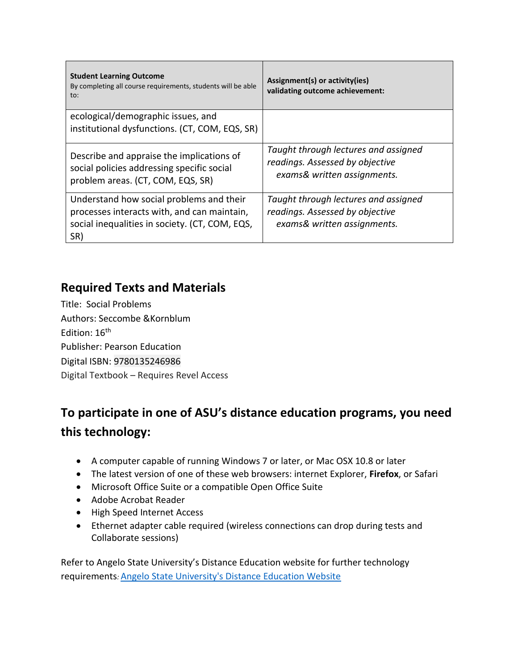| <b>Student Learning Outcome</b><br>By completing all course requirements, students will be able<br>to:                       | Assignment(s) or activity(ies)<br>validating outcome achievement:                                      |
|------------------------------------------------------------------------------------------------------------------------------|--------------------------------------------------------------------------------------------------------|
| ecological/demographic issues, and                                                                                           |                                                                                                        |
| institutional dysfunctions. (CT, COM, EQS, SR)                                                                               |                                                                                                        |
| Describe and appraise the implications of<br>social policies addressing specific social<br>problem areas. (CT, COM, EQS, SR) | Taught through lectures and assigned<br>readings. Assessed by objective<br>exams& written assignments. |
|                                                                                                                              |                                                                                                        |
| Understand how social problems and their<br>processes interacts with, and can maintain,                                      | Taught through lectures and assigned<br>readings. Assessed by objective                                |
| social inequalities in society. (CT, COM, EQS,                                                                               | exams& written assignments.                                                                            |
| SR)                                                                                                                          |                                                                                                        |

### **Required Texts and Materials**

Title: Social Problems Authors: Seccombe &Kornblum Edition: 16<sup>th</sup> Publisher: Pearson Education Digital ISBN: 9780135246986 Digital Textbook – Requires Revel Access

# **To participate in one of ASU's distance education programs, you need this technology:**

- A computer capable of running Windows 7 or later, or Mac OSX 10.8 or later
- The latest version of one of these web browsers: internet Explorer, **Firefox**, or Safari
- Microsoft Office Suite or a compatible Open Office Suite
- Adobe Acrobat Reader
- High Speed Internet Access
- Ethernet adapter cable required (wireless connections can drop during tests and Collaborate sessions)

Refer to Angelo State University's Distance Education website for further technology requirements*:* [Angelo State University's Distance Education Website](about:blank)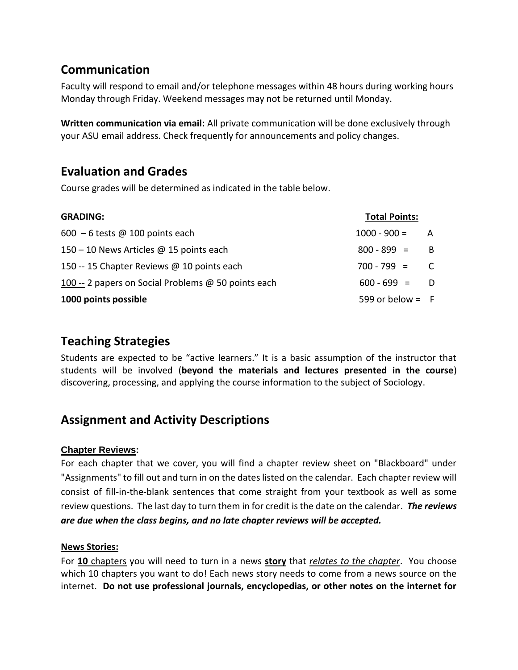### **Communication**

Faculty will respond to email and/or telephone messages within 48 hours during working hours Monday through Friday. Weekend messages may not be returned until Monday.

**Written communication via email:** All private communication will be done exclusively through your ASU email address. Check frequently for announcements and policy changes.

### **Evaluation and Grades**

Course grades will be determined as indicated in the table below.

| <b>GRADING:</b>                                     | <b>Total Points:</b> |              |
|-----------------------------------------------------|----------------------|--------------|
| $600 - 6$ tests @ 100 points each                   | $1000 - 900 = A$     |              |
| 150 – 10 News Articles @ 15 points each             | $800 - 899 =$        | - B          |
| 150 -- 15 Chapter Reviews @ 10 points each          | $700 - 799 =$        | $\mathsf{C}$ |
| 100 -- 2 papers on Social Problems @ 50 points each | $600 - 699 = D$      |              |
| 1000 points possible                                | 599 or below = $F$   |              |

### **Teaching Strategies**

Students are expected to be "active learners." It is a basic assumption of the instructor that students will be involved (**beyond the materials and lectures presented in the course**) discovering, processing, and applying the course information to the subject of Sociology.

### **Assignment and Activity Descriptions**

#### **Chapter Reviews:**

For each chapter that we cover, you will find a chapter review sheet on "Blackboard" under "Assignments" to fill out and turn in on the dates listed on the calendar. Each chapter review will consist of fill-in-the-blank sentences that come straight from your textbook as well as some review questions. The last day to turn them in for credit is the date on the calendar. *The reviews are due when the class begins, and no late chapter reviews will be accepted.*

#### **News Stories:**

For **10** chapters you will need to turn in a news **story** that *relates to the chapter*. You choose which 10 chapters you want to do! Each news story needs to come from a news source on the internet. **Do not use professional journals, encyclopedias, or other notes on the internet for**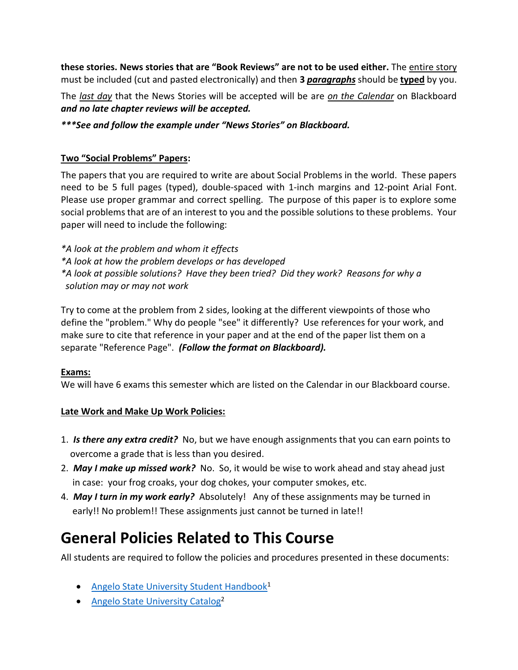**these stories. News stories that are "Book Reviews" are not to be used either.** The entire story must be included (cut and pasted electronically) and then **3** *paragraphs* should be **typed** by you.

The *last day* that the News Stories will be accepted will be are *on the Calendar* on Blackboard *and no late chapter reviews will be accepted.*

*\*\*\*See and follow the example under "News Stories" on Blackboard.* 

#### **Two "Social Problems" Papers:**

The papers that you are required to write are about Social Problems in the world. These papers need to be 5 full pages (typed), double-spaced with 1-inch margins and 12-point Arial Font. Please use proper grammar and correct spelling. The purpose of this paper is to explore some social problems that are of an interest to you and the possible solutions to these problems. Your paper will need to include the following:

*\*A look at the problem and whom it effects \*A look at how the problem develops or has developed \*A look at possible solutions? Have they been tried? Did they work? Reasons for why a solution may or may not work* 

Try to come at the problem from 2 sides, looking at the different viewpoints of those who define the "problem." Why do people "see" it differently? Use references for your work, and make sure to cite that reference in your paper and at the end of the paper list them on a separate "Reference Page". *(Follow the format on Blackboard).*

#### **Exams:**

We will have 6 exams this semester which are listed on the Calendar in our Blackboard course.

#### **Late Work and Make Up Work Policies:**

- 1.*Is there any extra credit?*No, but we have enough assignments that you can earn points to overcome a grade that is less than you desired.
- 2. *May I make up missed work?* No. So, it would be wise to work ahead and stay ahead just in case: your frog croaks, your dog chokes, your computer smokes, etc.
- 4. *May I turn in my work early?* Absolutely! Any of these assignments may be turned in early!! No problem!! These assignments just cannot be turned in late!!

# **General Policies Related to This Course**

All students are required to follow the policies and procedures presented in these documents:

- [Angelo State University Student Handbook](http://www.angelo.edu/student-handbook/)<sup>1</sup>
- [Angelo State University Catalog](http://www.angelo.edu/catalogs/)<sup>2</sup>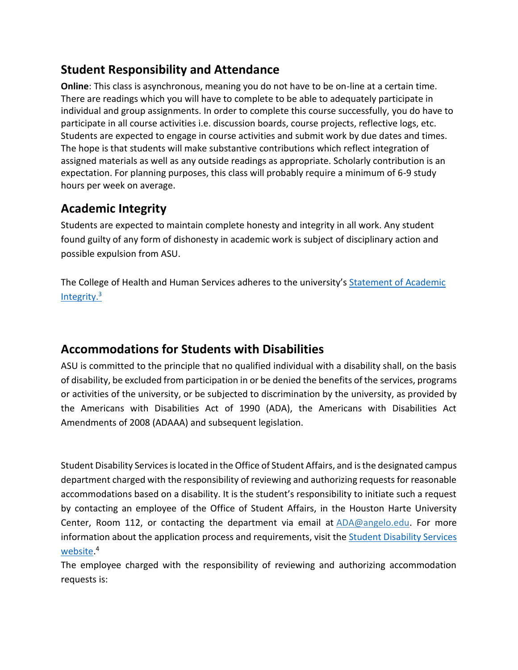### **Student Responsibility and Attendance**

**Online**: This class is asynchronous, meaning you do not have to be on-line at a certain time. There are readings which you will have to complete to be able to adequately participate in individual and group assignments. In order to complete this course successfully, you do have to participate in all course activities i.e. discussion boards, course projects, reflective logs, etc. Students are expected to engage in course activities and submit work by due dates and times. The hope is that students will make substantive contributions which reflect integration of assigned materials as well as any outside readings as appropriate. Scholarly contribution is an expectation. For planning purposes, this class will probably require a minimum of 6-9 study hours per week on average.

### **Academic Integrity**

Students are expected to maintain complete honesty and integrity in all work. Any student found guilty of any form of dishonesty in academic work is subject of disciplinary action and possible expulsion from ASU.

The College of Health and Human Services adheres to the university's [Statement of](https://www.angelo.edu/student-handbook/community-policies/academic-integrity.php) Academic [Integrity.](https://www.angelo.edu/student-handbook/community-policies/academic-integrity.php)<sup>3</sup>

### **Accommodations for Students with Disabilities**

ASU is committed to the principle that no qualified individual with a disability shall, on the basis of disability, be excluded from participation in or be denied the benefits of the services, programs or activities of the university, or be subjected to discrimination by the university, as provided by the Americans with Disabilities Act of 1990 (ADA), the Americans with Disabilities Act Amendments of 2008 (ADAAA) and subsequent legislation.

Student Disability Services is located in the Office of Student Affairs, and is the designated campus department charged with the responsibility of reviewing and authorizing requests for reasonable accommodations based on a disability. It is the student's responsibility to initiate such a request by contacting an employee of the Office of Student Affairs, in the Houston Harte University Center, Room 112, or contacting the department via email at [ADA@angelo.edu.](mailto:ADA@angelo.edu) For more information about the application process and requirements, visit the Student Disability Services [website.](https://www.angelo.edu/services/disability-services/) 4

The employee charged with the responsibility of reviewing and authorizing accommodation requests is: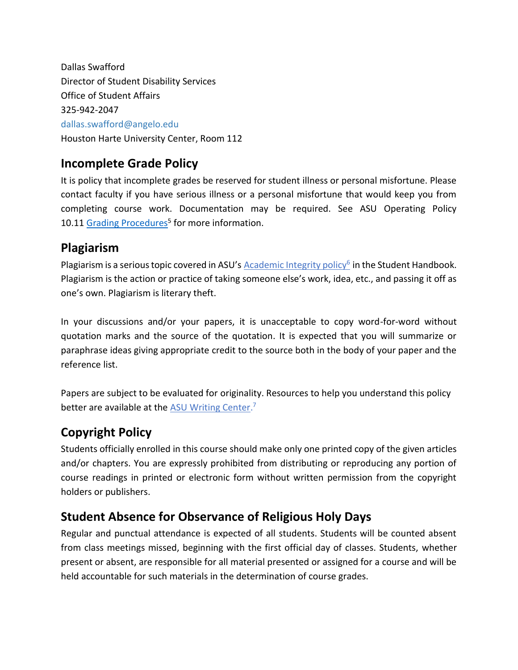Dallas Swafford Director of Student Disability Services Office of Student Affairs 325-942-2047 dallas.swafford@angelo.edu Houston Harte University Center, Room 112

### **Incomplete Grade Policy**

It is policy that incomplete grades be reserved for student illness or personal misfortune. Please contact faculty if you have serious illness or a personal misfortune that would keep you from completing course work. Documentation may be required. See ASU Operating Policy 10.11 [Grading Procedures](http://www.angelo.edu/content/files/14197-op-1011-grading-procedures)<sup>5</sup> for more information.

### **Plagiarism**

Plagiarism is a serious topic covered in ASU's **[Academic Integrity policy](http://www.angelo.edu/student-handbook/community-policies/academic-integrity.php)<sup>6</sup> in the Student Handbook**. Plagiarism is the action or practice of taking someone else's work, idea, etc., and passing it off as one's own. Plagiarism is literary theft.

In your discussions and/or your papers, it is unacceptable to copy word-for-word without quotation marks and the source of the quotation. It is expected that you will summarize or paraphrase ideas giving appropriate credit to the source both in the body of your paper and the reference list.

Papers are subject to be evaluated for originality. Resources to help you understand this policy better are available at the **[ASU Writing Center.](http://www.angelo.edu/dept/writing_center/academic_honesty.php)**<sup>7</sup>

## **Copyright Policy**

Students officially enrolled in this course should make only one printed copy of the given articles and/or chapters. You are expressly prohibited from distributing or reproducing any portion of course readings in printed or electronic form without written permission from the copyright holders or publishers.

### **Student Absence for Observance of Religious Holy Days**

Regular and punctual attendance is expected of all students. Students will be counted absent from class meetings missed, beginning with the first official day of classes. Students, whether present or absent, are responsible for all material presented or assigned for a course and will be held accountable for such materials in the determination of course grades.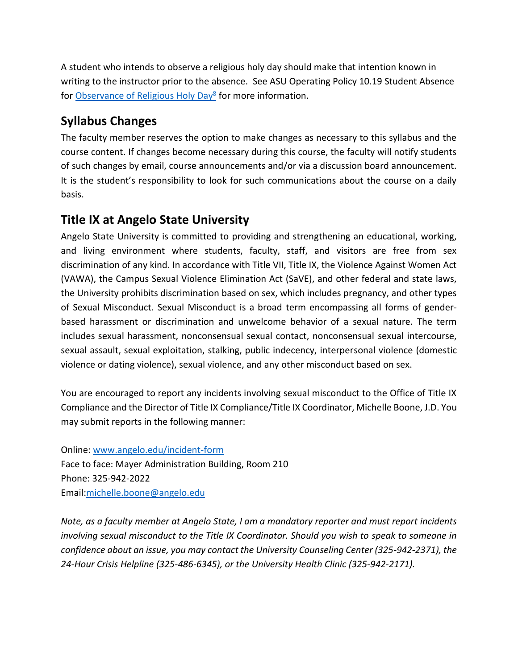A student who intends to observe a religious holy day should make that intention known in writing to the instructor prior to the absence. See ASU Operating Policy 10.19 Student Absence for [Observance of Religious Holy Day](http://www.angelo.edu/content/files/14206-op-1019-student-absence-for-observance-of)<sup>8</sup> for more information.

### **Syllabus Changes**

The faculty member reserves the option to make changes as necessary to this syllabus and the course content. If changes become necessary during this course, the faculty will notify students of such changes by email, course announcements and/or via a discussion board announcement. It is the student's responsibility to look for such communications about the course on a daily basis.

### **Title IX at Angelo State University**

Angelo State University is committed to providing and strengthening an educational, working, and living environment where students, faculty, staff, and visitors are free from sex discrimination of any kind. In accordance with Title VII, Title IX, the Violence Against Women Act (VAWA), the Campus Sexual Violence Elimination Act (SaVE), and other federal and state laws, the University prohibits discrimination based on sex, which includes pregnancy, and other types of Sexual Misconduct. Sexual Misconduct is a broad term encompassing all forms of genderbased harassment or discrimination and unwelcome behavior of a sexual nature. The term includes sexual harassment, nonconsensual sexual contact, nonconsensual sexual intercourse, sexual assault, sexual exploitation, stalking, public indecency, interpersonal violence (domestic violence or dating violence), sexual violence, and any other misconduct based on sex.

You are encouraged to report any incidents involving sexual misconduct to the Office of Title IX Compliance and the Director of Title IX Compliance/Title IX Coordinator, Michelle Boone, J.D. You may submit reports in the following manner:

Online: [www.angelo.edu/incident-form](http://www.angelo.edu/incident-form) Face to face: Mayer Administration Building, Room 210 Phone: 325-942-2022 Email[:michelle.boone@angelo.edu](mailto:michelle.boone@angelo.edu)

*Note, as a faculty member at Angelo State, I am a mandatory reporter and must report incidents involving sexual misconduct to the Title IX Coordinator. Should you wish to speak to someone in confidence about an issue, you may contact the University Counseling Center (325-942-2371), the 24-Hour Crisis Helpline (325-486-6345), or the University Health Clinic (325-942-2171).*